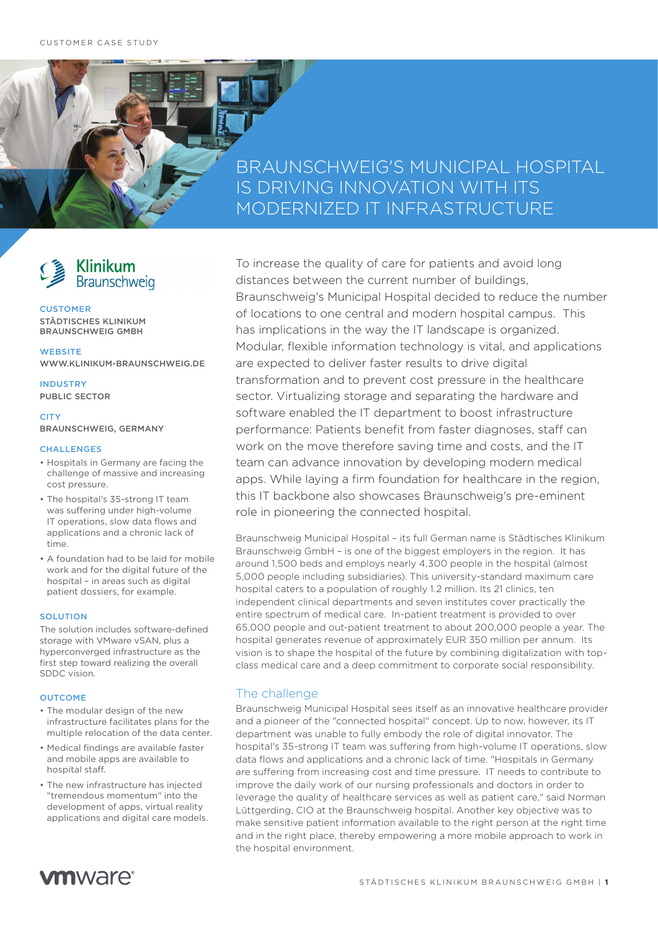## BRAUNSCHWEIG'S MUNICIPAL HOSPITAL IS DRIVING INNOVATION WITH ITS MODERNIZED IT INFRASTRUCTURE



#### **CUSTOMER** STÄDTISCHES KLINIKUM BRAUNSCHWEIG GMBH

**WEBSITE** WWW.KLINIKUM-BRAUNSCHWEIG.DE

INDUSTRY PUBLIC SECTOR

**CITY** BRAUNSCHWEIG, GERMANY

#### **CHALLENGES**

- Hospitals in Germany are facing the challenge of massive and increasing cost pressure.
- The hospital's 35-strong IT team was suffering under high-volume IT operations, slow data flows and applications and a chronic lack of time.
- A foundation had to be laid for mobile work and for the digital future of the hospital – in areas such as digital patient dossiers, for example.

#### **SOLUTION**

The solution includes software-defined storage with VMware vSAN, plus a hyperconverged infrastructure as the first step toward realizing the overall SDDC vision.

#### **OUTCOME**

- The modular design of the new infrastructure facilitates plans for the multiple relocation of the data center.
- Medical findings are available faster and mobile apps are available to hospital staff.
- The new infrastructure has injected "tremendous momentum" into the development of apps, virtual reality applications and digital care models.

To increase the quality of care for patients and avoid long distances between the current number of buildings, Braunschweig's Municipal Hospital decided to reduce the number of locations to one central and modern hospital campus. This has implications in the way the IT landscape is organized. Modular, flexible information technology is vital, and applications are expected to deliver faster results to drive digital transformation and to prevent cost pressure in the healthcare sector. Virtualizing storage and separating the hardware and software enabled the IT department to boost infrastructure performance: Patients benefit from faster diagnoses, staff can work on the move therefore saving time and costs, and the IT team can advance innovation by developing modern medical apps. While laying a firm foundation for healthcare in the region, this IT backbone also showcases Braunschweig's pre-eminent role in pioneering the connected hospital.

Braunschweig Municipal Hospital – its full German name is Städtisches Klinikum Braunschweig GmbH – is one of the biggest employers in the region. It has around 1,500 beds and employs nearly 4,300 people in the hospital (almost 5,000 people including subsidiaries). This university-standard maximum care hospital caters to a population of roughly 1.2 million. Its 21 clinics, ten independent clinical departments and seven institutes cover practically the entire spectrum of medical care. In-patient treatment is provided to over 65,000 people and out-patient treatment to about 200,000 people a year. The hospital generates revenue of approximately EUR 350 million per annum. Its vision is to shape the hospital of the future by combining digitalization with topclass medical care and a deep commitment to corporate social responsibility.

## The challenge

Braunschweig Municipal Hospital sees itself as an innovative healthcare provider and a pioneer of the "connected hospital" concept. Up to now, however, its IT department was unable to fully embody the role of digital innovator. The hospital's 35-strong IT team was suffering from high-volume IT operations, slow data flows and applications and a chronic lack of time. "Hospitals in Germany are suffering from increasing cost and time pressure. IT needs to contribute to improve the daily work of our nursing professionals and doctors in order to leverage the quality of healthcare services as well as patient care," said Norman Lüttgerding, CIO at the Braunschweig hospital. Another key objective was to make sensitive patient information available to the right person at the right time and in the right place, thereby empowering a more mobile approach to work in the hospital environment.

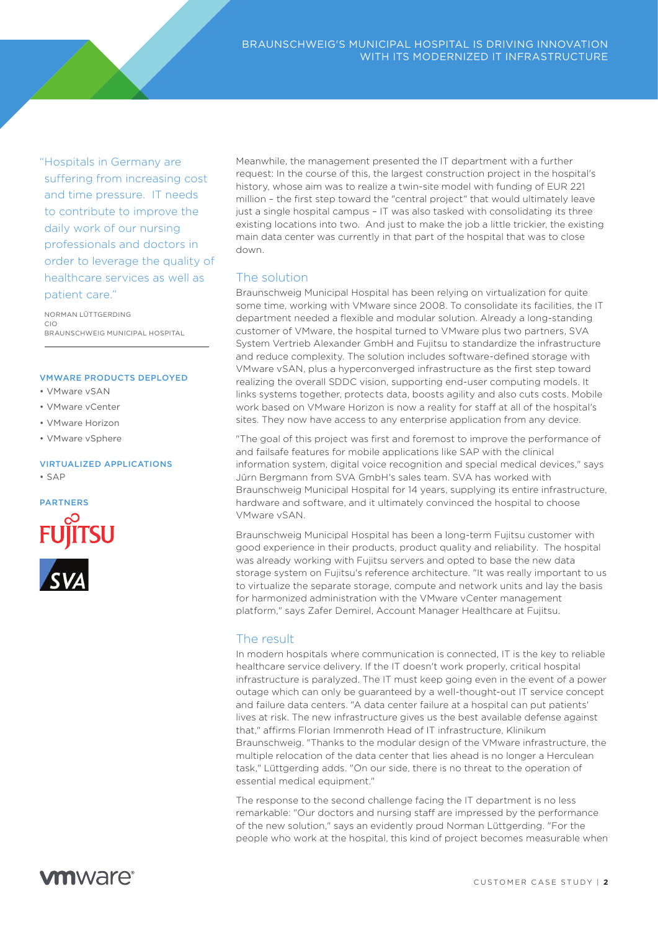"Hospitals in Germany are suffering from increasing cost and time pressure. IT needs to contribute to improve the daily work of our nursing professionals and doctors in order to leverage the quality of healthcare services as well as patient care."

NORMAN LÜTTGERDING CIO BRAUNSCHWEIG MUNICIPAL HOSPITAL

#### VMWARE PRODUCTS DEPLOYED

- VMware vSAN
- VMware vCenter
- VMware Horizon
- VMware vSphere

#### VIRTUALIZED APPLICATIONS • SAP



Meanwhile, the management presented the IT department with a further request: In the course of this, the largest construction project in the hospital's history, whose aim was to realize a twin-site model with funding of EUR 221 million - the first step toward the "central project" that would ultimately leave just a single hospital campus – IT was also tasked with consolidating its three existing locations into two. And just to make the job a little trickier, the existing main data center was currently in that part of the hospital that was to close down.

## The solution

Braunschweig Municipal Hospital has been relying on virtualization for quite some time, working with VMware since 2008. To consolidate its facilities, the IT department needed a flexible and modular solution. Already a long-standing customer of VMware, the hospital turned to VMware plus two partners, SVA System Vertrieb Alexander GmbH and Fujitsu to standardize the infrastructure and reduce complexity. The solution includes software-defined storage with VMware vSAN, plus a hyperconverged infrastructure as the first step toward realizing the overall SDDC vision, supporting end-user computing models. It links systems together, protects data, boosts agility and also cuts costs. Mobile work based on VMware Horizon is now a reality for staff at all of the hospital's sites. They now have access to any enterprise application from any device.

"The goal of this project was first and foremost to improve the performance of and failsafe features for mobile applications like SAP with the clinical information system, digital voice recognition and special medical devices," says Jürn Bergmann from SVA GmbH's sales team. SVA has worked with Braunschweig Municipal Hospital for 14 years, supplying its entire infrastructure, hardware and software, and it ultimately convinced the hospital to choose VMware vSAN.

Braunschweig Municipal Hospital has been a long-term Fujitsu customer with good experience in their products, product quality and reliability. The hospital was already working with Fujitsu servers and opted to base the new data storage system on Fujitsu's reference architecture. "It was really important to us to virtualize the separate storage, compute and network units and lay the basis for harmonized administration with the VMware vCenter management platform," says Zafer Demirel, Account Manager Healthcare at Fujitsu.

## The result

In modern hospitals where communication is connected, IT is the key to reliable healthcare service delivery. If the IT doesn't work properly, critical hospital infrastructure is paralyzed. The IT must keep going even in the event of a power outage which can only be guaranteed by a well-thought-out IT service concept and failure data centers. "A data center failure at a hospital can put patients' lives at risk. The new infrastructure gives us the best available defense against that," affirms Florian Immenroth Head of IT infrastructure, Klinikum Braunschweig. "Thanks to the modular design of the VMware infrastructure, the multiple relocation of the data center that lies ahead is no longer a Herculean task," Lüttgerding adds. "On our side, there is no threat to the operation of essential medical equipment."

The response to the second challenge facing the IT department is no less remarkable: "Our doctors and nursing staff are impressed by the performance of the new solution," says an evidently proud Norman Lüttgerding. "For the people who work at the hospital, this kind of project becomes measurable when

# **vm**ware<sup>®</sup>